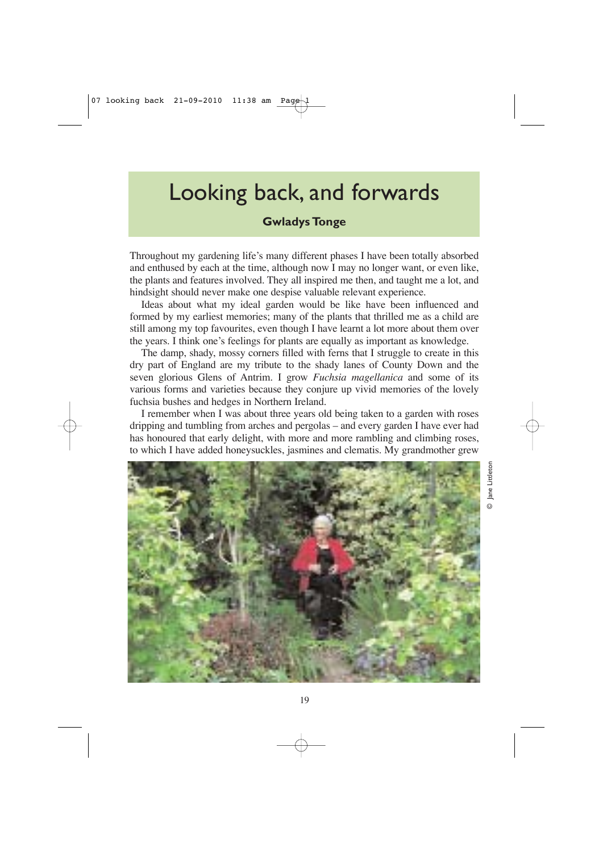## Looking back, and forwards

**Gwladys Tonge**

Throughout my gardening life's many different phases I have been totally absorbed and enthused by each at the time, although now I may no longer want, or even like, the plants and features involved. They all inspired me then, and taught me a lot, and hindsight should never make one despise valuable relevant experience.

Ideas about what my ideal garden would be like have been influenced and formed by my earliest memories; many of the plants that thrilled me as a child are still among my top favourites, even though I have learnt a lot more about them over the years. I think one's feelings for plants are equally as important as knowledge.

The damp, shady, mossy corners filled with ferns that I struggle to create in this dry part of England are my tribute to the shady lanes of County Down and the seven glorious Glens of Antrim. I grow *Fuchsia magellanica* and some of its various forms and varieties because they conjure up vivid memories of the lovely fuchsia bushes and hedges in Northern Ireland.

I remember when I was about three years old being taken to a garden with roses dripping and tumbling from arches and pergolas – and every garden I have ever had has honoured that early delight, with more and more rambling and climbing roses, to which I have added honeysuckles, jasmines and clematis. My grandmother grew



© Jane Littleton Jane Littletor